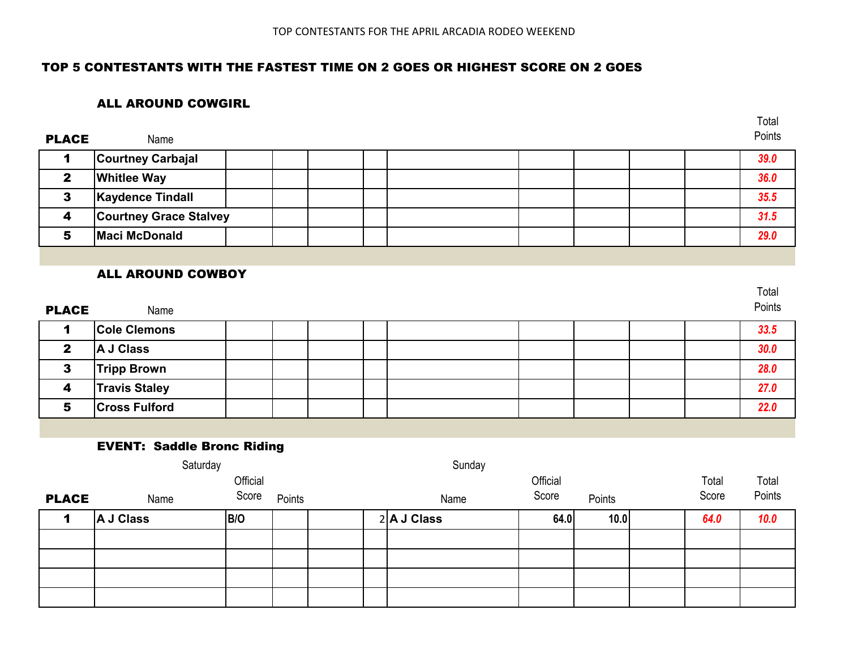Total

### TOP 5 CONTESTANTS WITH THE FASTEST TIME ON 2 GOES OR HIGHEST SCORE ON 2 GOES

#### ALL AROUND COWGIRL

| <b>PLACE</b> | Name                          |  |  |  |  | Points |
|--------------|-------------------------------|--|--|--|--|--------|
|              | <b>Courtney Carbajal</b>      |  |  |  |  | 39.0   |
|              | <b>Whitlee Way</b>            |  |  |  |  | 36.0   |
|              | <b>Kaydence Tindall</b>       |  |  |  |  | 35.5   |
| 4            | <b>Courtney Grace Stalvey</b> |  |  |  |  | 31.5   |
| э            | <b>Maci McDonald</b>          |  |  |  |  | 29.0   |

### ALL AROUND COWBOY

| <b>PLACE</b> | Name                 |  |  |  |  | Total<br>Points |
|--------------|----------------------|--|--|--|--|-----------------|
|              | <b>Cole Clemons</b>  |  |  |  |  | 33.5            |
| $\mathbf{2}$ | A J Class            |  |  |  |  | 30.0            |
| 3            | <b>Tripp Brown</b>   |  |  |  |  | 28.0            |
| 4            | <b>Travis Staley</b> |  |  |  |  | 27.0            |
| 5            | <b>Cross Fulford</b> |  |  |  |  | 22.0            |

### EVENT: Saddle Bronc Riding

|              | Saturday         |          |        | Sunday |               |          |        |  |       |        |
|--------------|------------------|----------|--------|--------|---------------|----------|--------|--|-------|--------|
|              |                  | Official |        |        |               | Official |        |  | Total | Total  |
| <b>PLACE</b> | Name             | Score    | Points |        | Name          | Score    | Points |  | Score | Points |
|              | <b>A J Class</b> | B/O      |        |        | $2$ A J Class | 64.0     | 10.0   |  | 64.0  | 10.0   |
|              |                  |          |        |        |               |          |        |  |       |        |
|              |                  |          |        |        |               |          |        |  |       |        |
|              |                  |          |        |        |               |          |        |  |       |        |
|              |                  |          |        |        |               |          |        |  |       |        |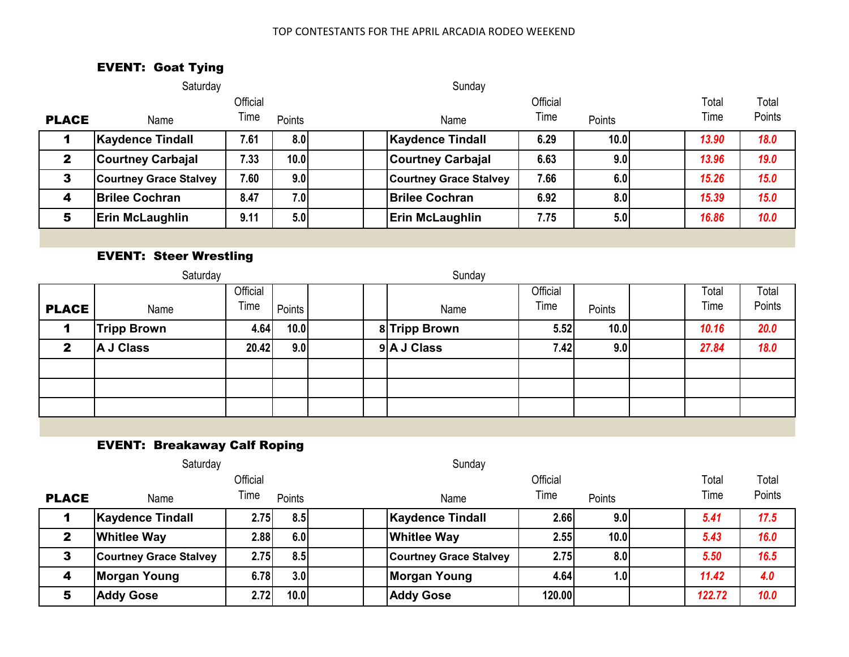### TOP CONTESTANTS FOR THE APRIL ARCADIA RODEO WEEKEND

## EVENT: Goat Tying

|              | Saturday                      |          |                   | Sunday                        |          |        |  |       |             |
|--------------|-------------------------------|----------|-------------------|-------------------------------|----------|--------|--|-------|-------------|
|              |                               | Official |                   |                               | Official |        |  | Total | Total       |
| <b>PLACE</b> | Name                          | Time     | Points            | Name                          | Time     | Points |  | Time  | Points      |
|              | <b>Kaydence Tindall</b>       | 7.61     | 8.0               | <b>Kaydence Tindall</b>       | 6.29     | 10.0   |  | 13.90 | <b>18.0</b> |
| $\mathbf{2}$ | <b>Courtney Carbajal</b>      | 7.33     | 10.0 <sub>l</sub> | <b>Courtney Carbajal</b>      | 6.63     | 9.0    |  | 13.96 | 19.0        |
| 3            | <b>Courtney Grace Stalvey</b> | 7.60     | 9.0               | <b>Courtney Grace Stalvey</b> | 7.66     | 6.0    |  | 15.26 | 15.0        |
| 4            | <b>Brilee Cochran</b>         | 8.47     | 7.0               | <b>Brilee Cochran</b>         | 6.92     | 8.0    |  | 15.39 | 15.0        |
| 5            | <b>Erin McLaughlin</b>        | 9.11     | 5.0               | Erin McLaughlin               | 7.75     | 5.0    |  | 16.86 | 10.0        |
|              |                               |          |                   |                               |          |        |  |       |             |

## EVENT: Steer Wrestling

|              | Saturday           |                  |        |  | Sunday |               |                  |        |               |                 |
|--------------|--------------------|------------------|--------|--|--------|---------------|------------------|--------|---------------|-----------------|
| <b>PLACE</b> | Name               | Official<br>Time | Points |  |        | Name          | Official<br>Time | Points | Total<br>Time | Total<br>Points |
| 1            | <b>Tripp Brown</b> | 4.64             | 10.0   |  |        | 8 Tripp Brown | 5.52             | 10.0   | 10.16         | 20.0            |
| $\mathbf{2}$ | A J Class          | 20.42            | 9.0    |  |        | 9 A J Class   | 7.42             | 9.0    | 27.84         | 18.0            |
|              |                    |                  |        |  |        |               |                  |        |               |                 |
|              |                    |                  |        |  |        |               |                  |        |               |                 |
|              |                    |                  |        |  |        |               |                  |        |               |                 |

# EVENT: Breakaway Calf Roping

|              | Saturday                      |          |        | Sunday                        |          |                  |        |        |
|--------------|-------------------------------|----------|--------|-------------------------------|----------|------------------|--------|--------|
|              |                               | Official |        |                               | Official |                  | Total  | Total  |
| <b>PLACE</b> | Name                          | Time     | Points | Name                          | Time     | Points           | Time   | Points |
|              | <b>Kaydence Tindall</b>       | 2.75     | 8.5    | <b>Kaydence Tindall</b>       | 2.66     | 9.0              | 5.41   | 17.5   |
| 2            | <b>Whitlee Way</b>            | 2.88     | 6.0    | <b>Whitlee Way</b>            | 2.55     | 10.0             | 5.43   | 16.0   |
| 3            | <b>Courtney Grace Stalvey</b> | 2.75     | 8.5    | <b>Courtney Grace Stalvey</b> | 2.75     | 8.0              | 5.50   | 16.5   |
| 4            | Morgan Young                  | 6.78     | 3.0    | <b>Morgan Young</b>           | 4.64     | 1.0 <sub>l</sub> | 11.42  | 4.0    |
| 5            | <b>Addy Gose</b>              | 2.72     | 10.0   | <b>Addy Gose</b>              | 120.00   |                  | 122.72 | 10.0   |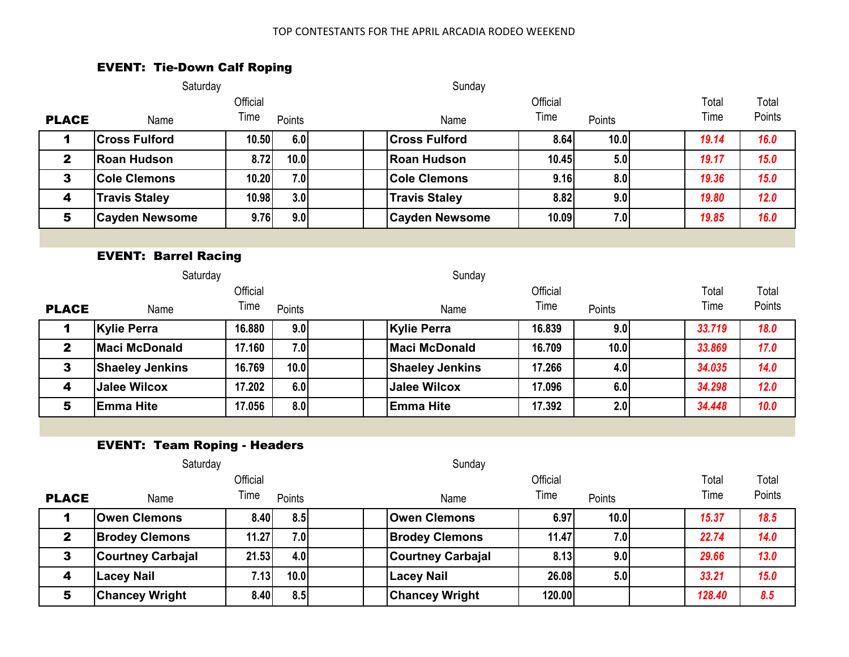#### TOP CONTESTANTS FOR THE APRIL ARCADIA RODEO WEEKEND

## EVENT: Tie-Down Calf Roping

|                         | Saturday                            |          |        | Sunday                   |          |        |  |        |        |  |
|-------------------------|-------------------------------------|----------|--------|--------------------------|----------|--------|--|--------|--------|--|
|                         |                                     | Official |        |                          | Official |        |  | Total  | Total  |  |
| <b>PLACE</b>            | Name                                | Time     | Points | Name                     | Time     | Points |  | Time   | Points |  |
| 1                       | <b>Cross Fulford</b>                | 10.50    | 6.0    | <b>Cross Fulford</b>     | 8.64     | 10.0   |  | 19.14  | 16.0   |  |
| $\mathbf{2}$            | <b>Roan Hudson</b>                  | 8.72     | 10.0   | <b>Roan Hudson</b>       | 10.45    | 5.0    |  | 19.17  | 15.0   |  |
| $\mathbf{3}$            | <b>Cole Clemons</b>                 | 10.20    | 7.0    | <b>Cole Clemons</b>      | 9.16     | 8.0    |  | 19.36  | 15.0   |  |
| $\overline{\mathbf{4}}$ | <b>Travis Staley</b>                | 10.98    | 3.0    | <b>Travis Staley</b>     | 8.82     | 9.0    |  | 19.80  | 12.0   |  |
| 5                       | <b>Cayden Newsome</b>               | 9.76     | 9.0    | <b>Cayden Newsome</b>    | 10.09    | 7.0    |  | 19.85  | 16.0   |  |
|                         |                                     |          |        |                          |          |        |  |        |        |  |
|                         | <b>EVENT: Barrel Racing</b>         |          |        |                          |          |        |  |        |        |  |
|                         | Saturday                            |          |        | Sunday                   |          |        |  |        |        |  |
|                         |                                     | Official |        |                          | Official |        |  | Total  | Total  |  |
| <b>PLACE</b>            | Name                                | Time     | Points | Name                     | Time     | Points |  | Time   | Points |  |
| 1                       | <b>Kylie Perra</b>                  | 16.880   | 9.0    | <b>Kylie Perra</b>       | 16.839   | 9.0    |  | 33.719 | 18.0   |  |
| $\mathbf{2}$            | <b>Maci McDonald</b>                | 17.160   | 7.0    | <b>Maci McDonald</b>     | 16.709   | 10.0   |  | 33.869 | 17.0   |  |
| $\mathbf{3}$            | <b>Shaeley Jenkins</b>              | 16.769   | 10.0   | <b>Shaeley Jenkins</b>   | 17.266   | 4.0    |  | 34.035 | 14.0   |  |
| $\overline{\mathbf{4}}$ | <b>Jalee Wilcox</b>                 | 17.202   | 6.0    | <b>Jalee Wilcox</b>      | 17.096   | 6.0    |  | 34.298 | 12.0   |  |
| 5                       | <b>Emma Hite</b>                    | 17.056   | 8.0    | <b>Emma Hite</b>         | 17.392   | 2.0    |  | 34.448 | 10.0   |  |
|                         |                                     |          |        |                          |          |        |  |        |        |  |
|                         | <b>EVENT: Team Roping - Headers</b> |          |        |                          |          |        |  |        |        |  |
|                         | Saturday                            |          |        | Sunday                   |          |        |  |        |        |  |
|                         |                                     | Official |        |                          | Official |        |  | Total  | Total  |  |
| <b>PLACE</b>            | Name                                | Time     | Points | Name                     | Time     | Points |  | Time   | Points |  |
| 1                       | <b>Owen Clemons</b>                 | 8.40     | 8.5    | <b>Owen Clemons</b>      | 6.97     | 10.0   |  | 15.37  | 18.5   |  |
| $\mathbf{2}$            | <b>Brodey Clemons</b>               | 11.27    | 7.0    | <b>Brodey Clemons</b>    | 11.47    | 7.0    |  | 22.74  | 14.0   |  |
| $\mathbf{3}$            | <b>Courtney Carbajal</b>            | 21.53    | 4.0    | <b>Courtney Carbajal</b> | 8.13     | 9.0    |  | 29.66  | 13.0   |  |
| $\overline{\mathbf{4}}$ | <b>Lacey Nail</b>                   | 7.13     | 10.0   | <b>Lacey Nail</b>        | 26.08    | 5.0    |  | 33.21  | 15.0   |  |
| 5                       | <b>Chancey Wright</b>               | 8.40     | 8.5    | <b>Chancey Wright</b>    | 120.00   |        |  | 128.40 | 8.5    |  |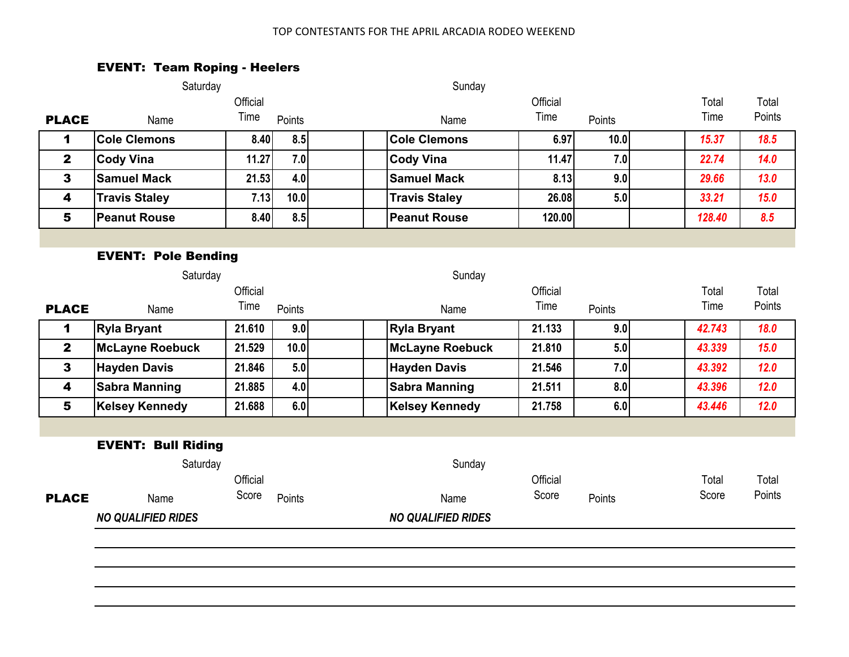### TOP CONTESTANTS FOR THE APRIL ARCADIA RODEO WEEKEND

# EVENT: Team Roping - Heelers

|                         | Saturday                   |          |        | Sunday                    |          |        |        |        |  |
|-------------------------|----------------------------|----------|--------|---------------------------|----------|--------|--------|--------|--|
|                         |                            | Official |        |                           | Official |        | Total  | Total  |  |
| <b>PLACE</b>            | Name                       | Time     | Points | Name                      | Time     | Points | Time   | Points |  |
| 1                       | <b>Cole Clemons</b>        | 8.40     | 8.5    | <b>Cole Clemons</b>       | 6.97     | 10.0   | 15.37  | 18.5   |  |
| $\mathbf{2}$            | <b>Cody Vina</b>           | 11.27    | 7.0    | <b>Cody Vina</b>          | 11.47    | 7.0    | 22.74  | 14.0   |  |
| 3                       | <b>Samuel Mack</b>         | 21.53    | 4.0    | <b>Samuel Mack</b>        | 8.13     | 9.0    | 29.66  | 13.0   |  |
| $\overline{\mathbf{4}}$ | <b>Travis Staley</b>       | 7.13     | 10.0   | <b>Travis Staley</b>      | 26.08    | 5.0    | 33.21  | 15.0   |  |
| 5                       | <b>Peanut Rouse</b>        | 8.40     | 8.5    | <b>Peanut Rouse</b>       | 120.00   |        | 128.40 | 8.5    |  |
|                         |                            |          |        |                           |          |        |        |        |  |
|                         | <b>EVENT: Pole Bending</b> |          |        |                           |          |        |        |        |  |
|                         | Saturday                   |          |        | Sunday                    |          |        |        |        |  |
|                         |                            | Official |        |                           | Official |        | Total  | Total  |  |
| <b>PLACE</b>            | Name                       | Time     | Points | Name                      | Time     | Points | Time   | Points |  |
| 1                       | <b>Ryla Bryant</b>         | 21.610   | 9.0    | <b>Ryla Bryant</b>        | 21.133   | 9.0    | 42.743 | 18.0   |  |
| $\overline{2}$          | <b>McLayne Roebuck</b>     | 21.529   | 10.0   | <b>McLayne Roebuck</b>    | 21.810   | 5.0    | 43.339 | 15.0   |  |
| $\mathbf{3}$            | <b>Hayden Davis</b>        | 21.846   | 5.0    | <b>Hayden Davis</b>       | 21.546   | 7.0    | 43.392 | 12.0   |  |
| $\overline{\mathbf{4}}$ | <b>Sabra Manning</b>       | 21.885   | 4.0    | <b>Sabra Manning</b>      | 21.511   | 8.0    | 43.396 | 12.0   |  |
| 5                       | <b>Kelsey Kennedy</b>      | 21.688   | 6.0    | <b>Kelsey Kennedy</b>     | 21.758   | 6.0    | 43.446 | $12.0$ |  |
|                         |                            |          |        |                           |          |        |        |        |  |
|                         | <b>EVENT: Bull Riding</b>  |          |        |                           |          |        |        |        |  |
|                         | Saturday                   |          |        | Sunday                    |          |        |        |        |  |
|                         |                            | Official |        |                           | Official |        | Total  | Total  |  |
| <b>PLACE</b>            | Name                       | Score    | Points | Name                      | Score    | Points | Score  | Points |  |
|                         | <b>NO QUALIFIED RIDES</b>  |          |        | <b>NO QUALIFIED RIDES</b> |          |        |        |        |  |
|                         |                            |          |        |                           |          |        |        |        |  |
|                         |                            |          |        |                           |          |        |        |        |  |
|                         |                            |          |        |                           |          |        |        |        |  |
|                         |                            |          |        |                           |          |        |        |        |  |